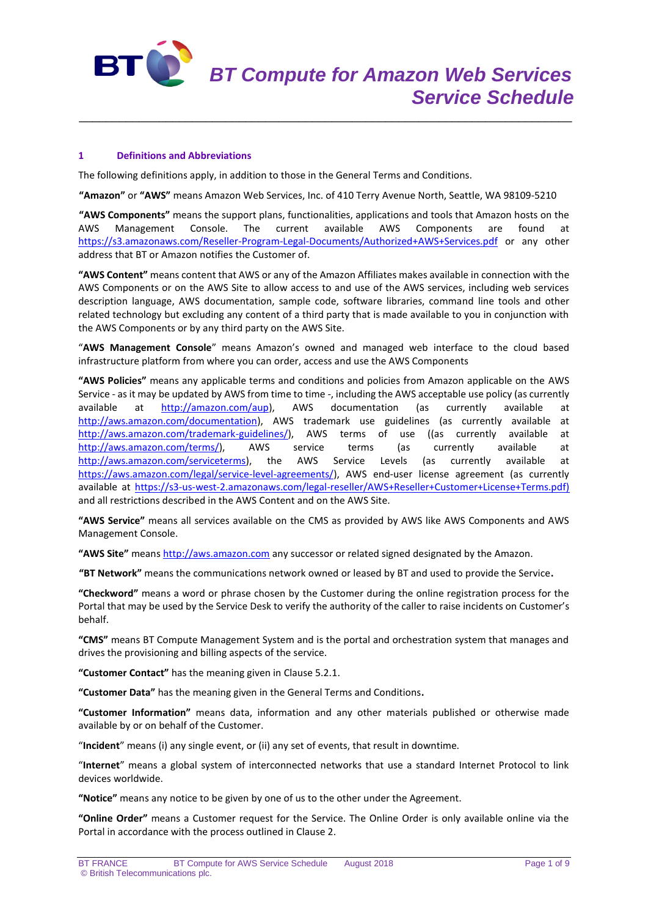

# **1 Definitions and Abbreviations**

The following definitions apply, in addition to those in the General Terms and Conditions.

**"Amazon"** or **"AWS"** means Amazon Web Services, Inc. of 410 Terry Avenue North, Seattle, WA 98109-5210

\_\_\_\_\_\_\_\_\_\_\_\_\_\_\_\_\_\_\_\_\_\_\_\_\_\_\_\_\_\_\_\_\_\_\_\_\_\_\_\_\_\_\_\_\_\_\_\_\_\_\_\_\_\_\_\_\_\_\_\_\_\_\_\_\_\_\_\_\_\_\_\_\_\_

**"AWS Components"** means the support plans, functionalities, applications and tools that Amazon hosts on the AWS Management Console. The current available AWS Components are found at <https://s3.amazonaws.com/Reseller-Program-Legal-Documents/Authorized+AWS+Services.pdf> or any other address that BT or Amazon notifies the Customer of.

**"AWS Content"** means content that AWS or any of the Amazon Affiliates makes available in connection with the AWS Components or on the AWS Site to allow access to and use of the AWS services, including web services description language, AWS documentation, sample code, software libraries, command line tools and other related technology but excluding any content of a third party that is made available to you in conjunction with the AWS Components or by any third party on the AWS Site.

"**AWS Management Console**" means Amazon's owned and managed web interface to the cloud based infrastructure platform from where you can order, access and use the AWS Components

**"AWS Policies"** means any applicable terms and conditions and policies from Amazon applicable on the AWS Service - as it may be updated by AWS from time to time -, including the AWS acceptable use policy (as currently available at [http://amazon.com/aup\)](http://amazon.com/aup), AWS documentation (as currently available at [http://aws.amazon.com/documentation\)](http://aws.amazon.com/documentation), AWS trademark use guidelines (as currently available at [http://aws.amazon.com/trademark-guidelines/\)](http://aws.amazon.com/trademark-guidelines/), AWS terms of use ((as currently available at [http://aws.amazon.com/terms/\)](http://aws.amazon.com/terms/), AWS service terms (as currently available at [http://aws.amazon.com/serviceterms\)](http://aws.amazon.com/serviceterms), the AWS Service Levels (as currently available at [https://aws.amazon.com/legal/service-level-agreements/\)](https://aws.amazon.com/legal/service-level-agreements/), AWS end-user license agreement (as currently available at [https://s3-us-west-2.amazonaws.com/legal-reseller/AWS+Reseller+Customer+License+Terms.pdf\)](https://s3-us-west-2.amazonaws.com/legal-reseller/AWS+Reseller+Customer+License+Terms.pdf) and all restrictions described in the AWS Content and on the AWS Site.

**"AWS Service"** means all services available on the CMS as provided by AWS like AWS Components and AWS Management Console.

**"AWS Site"** means [http://aws.amazon.com](http://aws.amazon.com/) any successor or related signed designated by the Amazon.

**"BT Network"** means the communications network owned or leased by BT and used to provide the Service**.**

**"Checkword"** means a word or phrase chosen by the Customer during the online registration process for the Portal that may be used by the Service Desk to verify the authority of the caller to raise incidents on Customer's behalf.

**"CMS"** means BT Compute Management System and is the portal and orchestration system that manages and drives the provisioning and billing aspects of the service.

**"Customer Contact"** has the meaning given in Clause 5.2.1.

**"Customer Data"** has the meaning given in the General Terms and Conditions**.**

**"Customer Information"** means data, information and any other materials published or otherwise made available by or on behalf of the Customer.

"**Incident**" means (i) any single event, or (ii) any set of events, that result in downtime.

"**Internet**" means a global system of interconnected networks that use a standard Internet Protocol to link devices worldwide.

**"Notice"** means any notice to be given by one of us to the other under the Agreement.

**"Online Order"** means a Customer request for the Service. The Online Order is only available online via the Portal in accordance with the process outlined in Clause 2.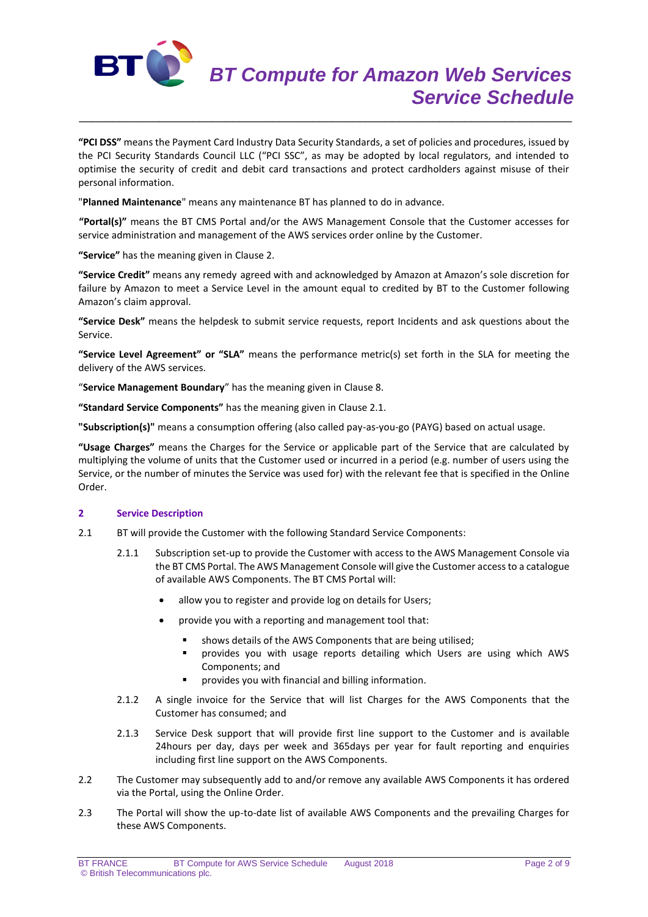

**"PCI DSS"** means the Payment Card Industry Data Security Standards, a set of policies and procedures, issued by the PCI Security Standards Council LLC ("PCI SSC", as may be adopted by local regulators, and intended to optimise the security of credit and debit card transactions and protect cardholders against misuse of their personal information.

\_\_\_\_\_\_\_\_\_\_\_\_\_\_\_\_\_\_\_\_\_\_\_\_\_\_\_\_\_\_\_\_\_\_\_\_\_\_\_\_\_\_\_\_\_\_\_\_\_\_\_\_\_\_\_\_\_\_\_\_\_\_\_\_\_\_\_\_\_\_\_\_\_\_

"**Planned Maintenance**" means any maintenance BT has planned to do in advance.

**"Portal(s)"** means the BT CMS Portal and/or the AWS Management Console that the Customer accesses for service administration and management of the AWS services order online by the Customer.

**"Service"** has the meaning given in Clause 2.

**"Service Credit"** means any remedy agreed with and acknowledged by Amazon at Amazon's sole discretion for failure by Amazon to meet a Service Level in the amount equal to credited by BT to the Customer following Amazon's claim approval.

**"Service Desk"** means the helpdesk to submit service requests, report Incidents and ask questions about the Service.

**"Service Level Agreement" or "SLA"** means the performance metric(s) set forth in the SLA for meeting the delivery of the AWS services.

"**Service Management Boundary**" has the meaning given in Clause 8.

**"Standard Service Components"** has the meaning given in Clause 2.1.

**"Subscription(s)"** means a consumption offering (also called pay-as-you-go (PAYG) based on actual usage.

**"Usage Charges"** means the Charges for the Service or applicable part of the Service that are calculated by multiplying the volume of units that the Customer used or incurred in a period (e.g. number of users using the Service, or the number of minutes the Service was used for) with the relevant fee that is specified in the Online Order.

# **2 Service Description**

- 2.1 BT will provide the Customer with the following Standard Service Components:
	- 2.1.1 Subscription set-up to provide the Customer with access to the AWS Management Console via the BT CMS Portal. The AWS Management Console will give the Customer access to a catalogue of available AWS Components. The BT CMS Portal will:
		- allow you to register and provide log on details for Users;
		- provide you with a reporting and management tool that:
			- shows details of the AWS Components that are being utilised;
			- provides you with usage reports detailing which Users are using which AWS Components; and
			- provides you with financial and billing information.
	- 2.1.2 A single invoice for the Service that will list Charges for the AWS Components that the Customer has consumed; and
	- 2.1.3 Service Desk support that will provide first line support to the Customer and is available 24hours per day, days per week and 365days per year for fault reporting and enquiries including first line support on the AWS Components.
- 2.2 The Customer may subsequently add to and/or remove any available AWS Components it has ordered via the Portal, using the Online Order.
- 2.3 The Portal will show the up-to-date list of available AWS Components and the prevailing Charges for these AWS Components.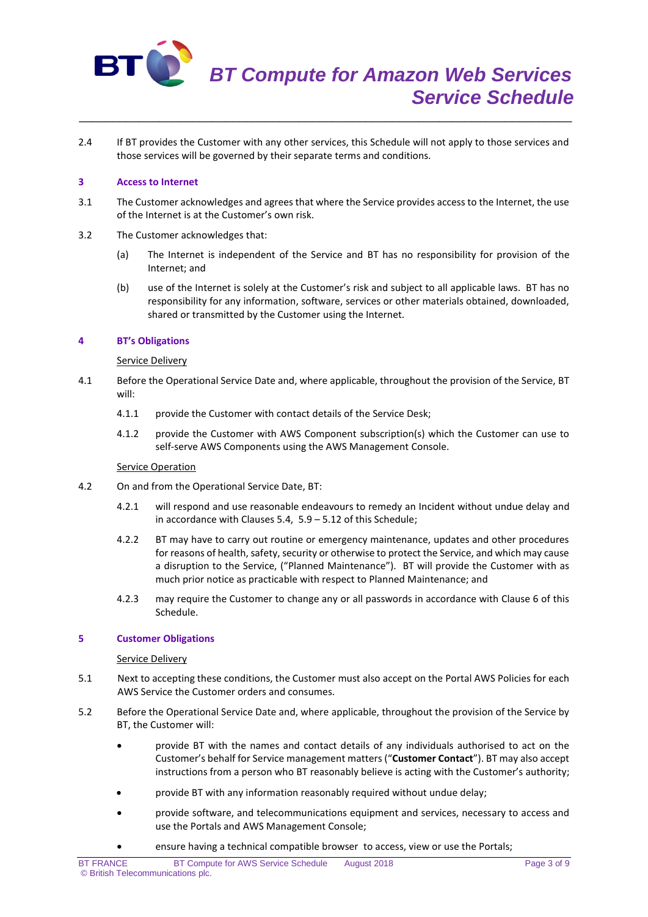

2.4 If BT provides the Customer with any other services, this Schedule will not apply to those services and those services will be governed by their separate terms and conditions.

\_\_\_\_\_\_\_\_\_\_\_\_\_\_\_\_\_\_\_\_\_\_\_\_\_\_\_\_\_\_\_\_\_\_\_\_\_\_\_\_\_\_\_\_\_\_\_\_\_\_\_\_\_\_\_\_\_\_\_\_\_\_\_\_\_\_\_\_\_\_\_\_\_\_

### **3 Access to Internet**

- 3.1 The Customer acknowledges and agrees that where the Service provides access to the Internet, the use of the Internet is at the Customer's own risk.
- 3.2 The Customer acknowledges that:
	- (a) The Internet is independent of the Service and BT has no responsibility for provision of the Internet; and
	- (b) use of the Internet is solely at the Customer's risk and subject to all applicable laws. BT has no responsibility for any information, software, services or other materials obtained, downloaded, shared or transmitted by the Customer using the Internet.

# **4 BT's Obligations**

### Service Delivery

- 4.1 Before the Operational Service Date and, where applicable, throughout the provision of the Service, BT will:
	- 4.1.1 provide the Customer with contact details of the Service Desk;
	- 4.1.2 provide the Customer with AWS Component subscription(s) which the Customer can use to self-serve AWS Components using the AWS Management Console.

#### **Service Operation**

- 4.2 On and from the Operational Service Date, BT:
	- 4.2.1 will respond and use reasonable endeavours to remedy an Incident without undue delay and in accordance with Clauses 5.4, 5.9 – 5.12 of this Schedule;
	- 4.2.2 BT may have to carry out routine or emergency maintenance, updates and other procedures for reasons of health, safety, security or otherwise to protect the Service, and which may cause a disruption to the Service, ("Planned Maintenance"). BT will provide the Customer with as much prior notice as practicable with respect to Planned Maintenance; and
	- 4.2.3 may require the Customer to change any or all passwords in accordance with Clause 6 of this Schedule.

#### **5 Customer Obligations**

#### Service Delivery

- 5.1 Next to accepting these conditions, the Customer must also accept on the Portal AWS Policies for each AWS Service the Customer orders and consumes.
- 5.2 Before the Operational Service Date and, where applicable, throughout the provision of the Service by BT, the Customer will:
	- provide BT with the names and contact details of any individuals authorised to act on the Customer's behalf for Service management matters ("**Customer Contact**"). BT may also accept instructions from a person who BT reasonably believe is acting with the Customer's authority;
	- provide BT with any information reasonably required without undue delay;
	- provide software, and telecommunications equipment and services, necessary to access and use the Portals and AWS Management Console;
		- ensure having a technical compatible browser to access, view or use the Portals;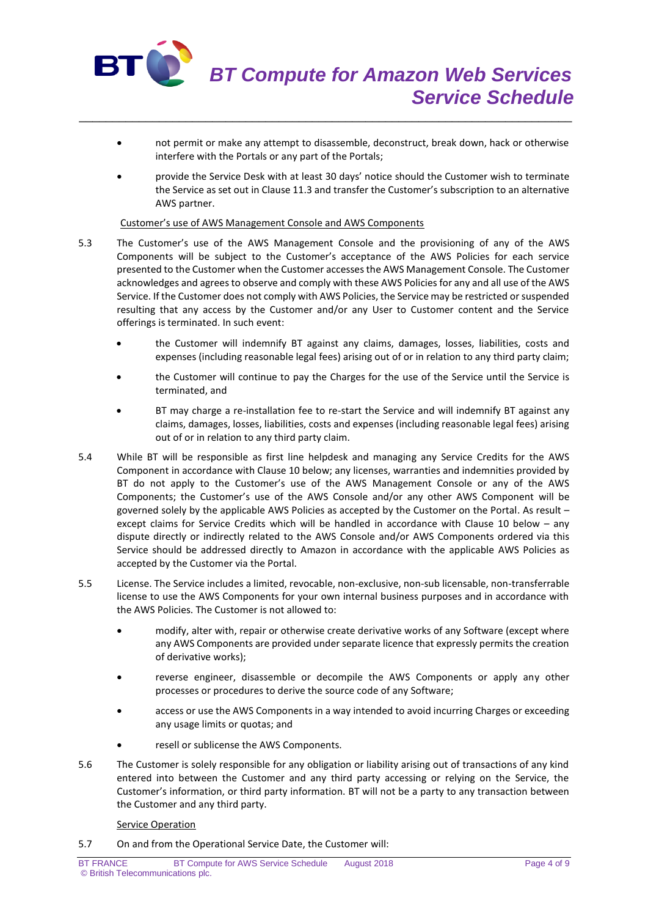

 not permit or make any attempt to disassemble, deconstruct, break down, hack or otherwise interfere with the Portals or any part of the Portals;

\_\_\_\_\_\_\_\_\_\_\_\_\_\_\_\_\_\_\_\_\_\_\_\_\_\_\_\_\_\_\_\_\_\_\_\_\_\_\_\_\_\_\_\_\_\_\_\_\_\_\_\_\_\_\_\_\_\_\_\_\_\_\_\_\_\_\_\_\_\_\_\_\_\_

 provide the Service Desk with at least 30 days' notice should the Customer wish to terminate the Service as set out in Clause 11.3 and transfer the Customer's subscription to an alternative AWS partner.

### Customer's use of AWS Management Console and AWS Components

- 5.3 The Customer's use of the AWS Management Console and the provisioning of any of the AWS Components will be subject to the Customer's acceptance of the AWS Policies for each service presented to the Customer when the Customer accesses the AWS Management Console. The Customer acknowledges and agrees to observe and comply with these AWS Policies for any and all use of the AWS Service. If the Customer does not comply with AWS Policies, the Service may be restricted or suspended resulting that any access by the Customer and/or any User to Customer content and the Service offerings is terminated. In such event:
	- the Customer will indemnify BT against any claims, damages, losses, liabilities, costs and expenses (including reasonable legal fees) arising out of or in relation to any third party claim;
	- the Customer will continue to pay the Charges for the use of the Service until the Service is terminated, and
	- BT may charge a re-installation fee to re-start the Service and will indemnify BT against any claims, damages, losses, liabilities, costs and expenses (including reasonable legal fees) arising out of or in relation to any third party claim.
- 5.4 While BT will be responsible as first line helpdesk and managing any Service Credits for the AWS Component in accordance with Clause 10 below; any licenses, warranties and indemnities provided by BT do not apply to the Customer's use of the AWS Management Console or any of the AWS Components; the Customer's use of the AWS Console and/or any other AWS Component will be governed solely by the applicable AWS Policies as accepted by the Customer on the Portal. As result – except claims for Service Credits which will be handled in accordance with Clause 10 below – any dispute directly or indirectly related to the AWS Console and/or AWS Components ordered via this Service should be addressed directly to Amazon in accordance with the applicable AWS Policies as accepted by the Customer via the Portal.
- 5.5 License. The Service includes a limited, revocable, non-exclusive, non-sub licensable, non-transferrable license to use the AWS Components for your own internal business purposes and in accordance with the AWS Policies. The Customer is not allowed to:
	- modify, alter with, repair or otherwise create derivative works of any Software (except where any AWS Components are provided under separate licence that expressly permits the creation of derivative works);
	- reverse engineer, disassemble or decompile the AWS Components or apply any other processes or procedures to derive the source code of any Software;
	- access or use the AWS Components in a way intended to avoid incurring Charges or exceeding any usage limits or quotas; and
	- resell or sublicense the AWS Components.
- 5.6 The Customer is solely responsible for any obligation or liability arising out of transactions of any kind entered into between the Customer and any third party accessing or relying on the Service, the Customer's information, or third party information. BT will not be a party to any transaction between the Customer and any third party.

# **Service Operation**

5.7 On and from the Operational Service Date, the Customer will: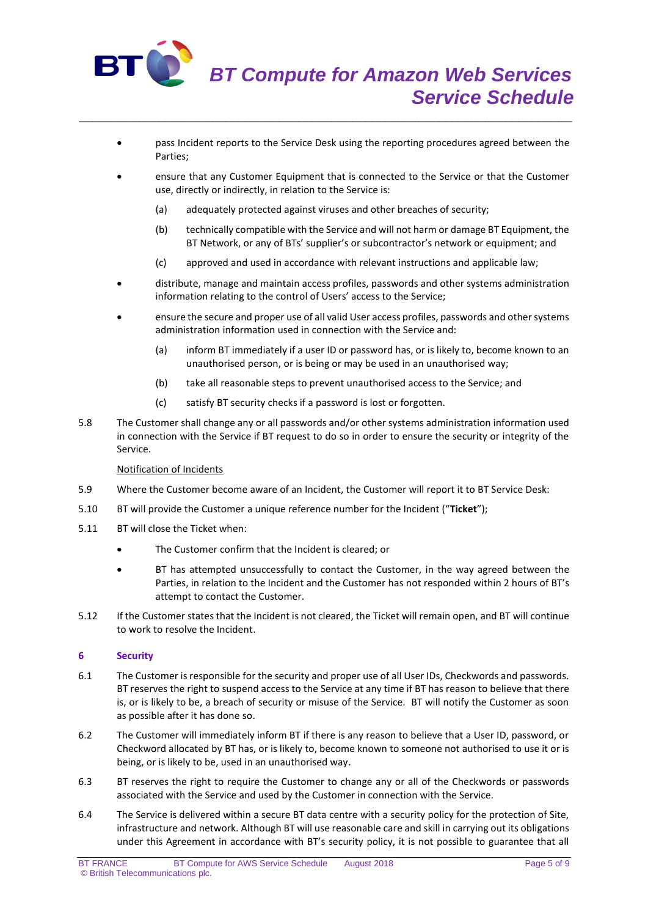

- pass Incident reports to the Service Desk using the reporting procedures agreed between the Parties;
- ensure that any Customer Equipment that is connected to the Service or that the Customer use, directly or indirectly, in relation to the Service is:
	- (a) adequately protected against viruses and other breaches of security;

\_\_\_\_\_\_\_\_\_\_\_\_\_\_\_\_\_\_\_\_\_\_\_\_\_\_\_\_\_\_\_\_\_\_\_\_\_\_\_\_\_\_\_\_\_\_\_\_\_\_\_\_\_\_\_\_\_\_\_\_\_\_\_\_\_\_\_\_\_\_\_\_\_\_

- (b) technically compatible with the Service and will not harm or damage BT Equipment, the BT Network, or any of BTs' supplier's or subcontractor's network or equipment; and
- (c) approved and used in accordance with relevant instructions and applicable law;
- distribute, manage and maintain access profiles, passwords and other systems administration information relating to the control of Users' access to the Service;
- ensure the secure and proper use of all valid User access profiles, passwords and other systems administration information used in connection with the Service and:
	- (a) inform BT immediately if a user ID or password has, or is likely to, become known to an unauthorised person, or is being or may be used in an unauthorised way;
	- (b) take all reasonable steps to prevent unauthorised access to the Service; and
	- (c) satisfy BT security checks if a password is lost or forgotten.
- 5.8 The Customer shall change any or all passwords and/or other systems administration information used in connection with the Service if BT request to do so in order to ensure the security or integrity of the Service.

# Notification of Incidents

- 5.9 Where the Customer become aware of an Incident, the Customer will report it to BT Service Desk:
- 5.10 BT will provide the Customer a unique reference number for the Incident ("**Ticket**");
- 5.11 BT will close the Ticket when:
	- The Customer confirm that the Incident is cleared; or
	- BT has attempted unsuccessfully to contact the Customer, in the way agreed between the Parties, in relation to the Incident and the Customer has not responded within 2 hours of BT's attempt to contact the Customer.
- 5.12 If the Customer states that the Incident is not cleared, the Ticket will remain open, and BT will continue to work to resolve the Incident.

# **6 Security**

- 6.1 The Customer is responsible for the security and proper use of all User IDs, Checkwords and passwords. BT reserves the right to suspend access to the Service at any time if BT has reason to believe that there is, or is likely to be, a breach of security or misuse of the Service. BT will notify the Customer as soon as possible after it has done so.
- 6.2 The Customer will immediately inform BT if there is any reason to believe that a User ID, password, or Checkword allocated by BT has, or is likely to, become known to someone not authorised to use it or is being, or is likely to be, used in an unauthorised way.
- 6.3 BT reserves the right to require the Customer to change any or all of the Checkwords or passwords associated with the Service and used by the Customer in connection with the Service.
- 6.4 The Service is delivered within a secure BT data centre with a security policy for the protection of Site, infrastructure and network. Although BT will use reasonable care and skill in carrying out its obligations under this Agreement in accordance with BT's security policy, it is not possible to guarantee that all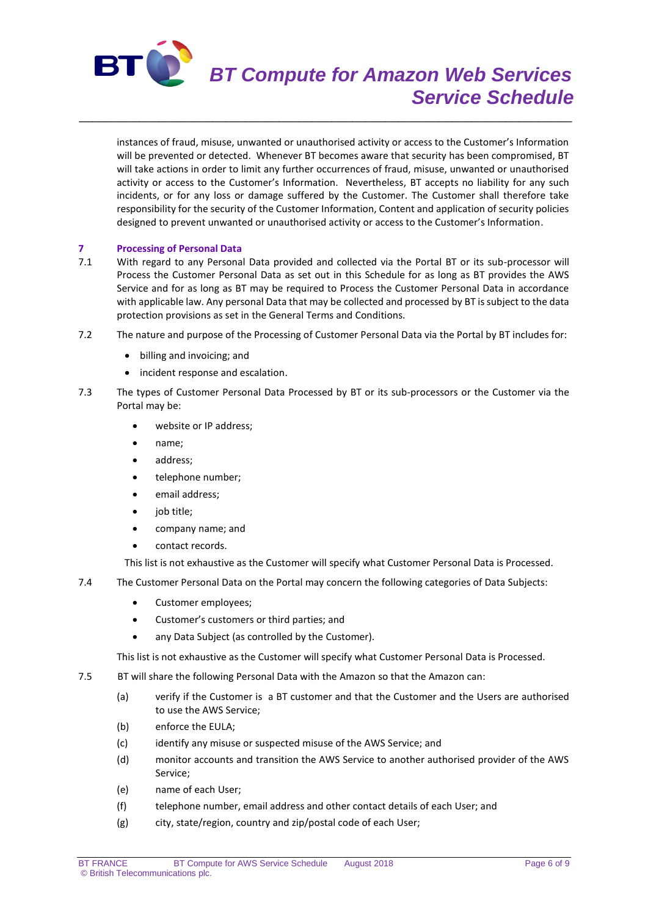

# *BT Compute for Amazon Web Services Service Schedule*

instances of fraud, misuse, unwanted or unauthorised activity or access to the Customer's Information will be prevented or detected. Whenever BT becomes aware that security has been compromised, BT will take actions in order to limit any further occurrences of fraud, misuse, unwanted or unauthorised activity or access to the Customer's Information. Nevertheless, BT accepts no liability for any such incidents, or for any loss or damage suffered by the Customer. The Customer shall therefore take responsibility for the security of the Customer Information, Content and application of security policies designed to prevent unwanted or unauthorised activity or access to the Customer's Information.

\_\_\_\_\_\_\_\_\_\_\_\_\_\_\_\_\_\_\_\_\_\_\_\_\_\_\_\_\_\_\_\_\_\_\_\_\_\_\_\_\_\_\_\_\_\_\_\_\_\_\_\_\_\_\_\_\_\_\_\_\_\_\_\_\_\_\_\_\_\_\_\_\_\_

# **7 Processing of Personal Data**<br>**7.1** With regard to any Personal

- With regard to any Personal Data provided and collected via the Portal BT or its sub-processor will Process the Customer Personal Data as set out in this Schedule for as long as BT provides the AWS Service and for as long as BT may be required to Process the Customer Personal Data in accordance with applicable law. Any personal Data that may be collected and processed by BT is subject to the data protection provisions as set in the General Terms and Conditions.
- 7.2 The nature and purpose of the Processing of Customer Personal Data via the Portal by BT includes for:
	- billing and invoicing; and
	- incident response and escalation.
- 7.3 The types of Customer Personal Data Processed by BT or its sub-processors or the Customer via the Portal may be:
	- website or IP address;
	- name;
	- address;
	- telephone number;
	- email address;
	- job title;
	- company name; and
	- contact records.

This list is not exhaustive as the Customer will specify what Customer Personal Data is Processed.

- 7.4 The Customer Personal Data on the Portal may concern the following categories of Data Subjects:
	- Customer employees;
	- Customer's customers or third parties; and
	- any Data Subject (as controlled by the Customer).

This list is not exhaustive as the Customer will specify what Customer Personal Data is Processed.

- 7.5 BT will share the following Personal Data with the Amazon so that the Amazon can:
	- (a) verify if the Customer is a BT customer and that the Customer and the Users are authorised to use the AWS Service;
	- (b) enforce the EULA;
	- (c) identify any misuse or suspected misuse of the AWS Service; and
	- (d) monitor accounts and transition the AWS Service to another authorised provider of the AWS Service;
	- (e) name of each User;
	- (f) telephone number, email address and other contact details of each User; and
	- (g) city, state/region, country and zip/postal code of each User;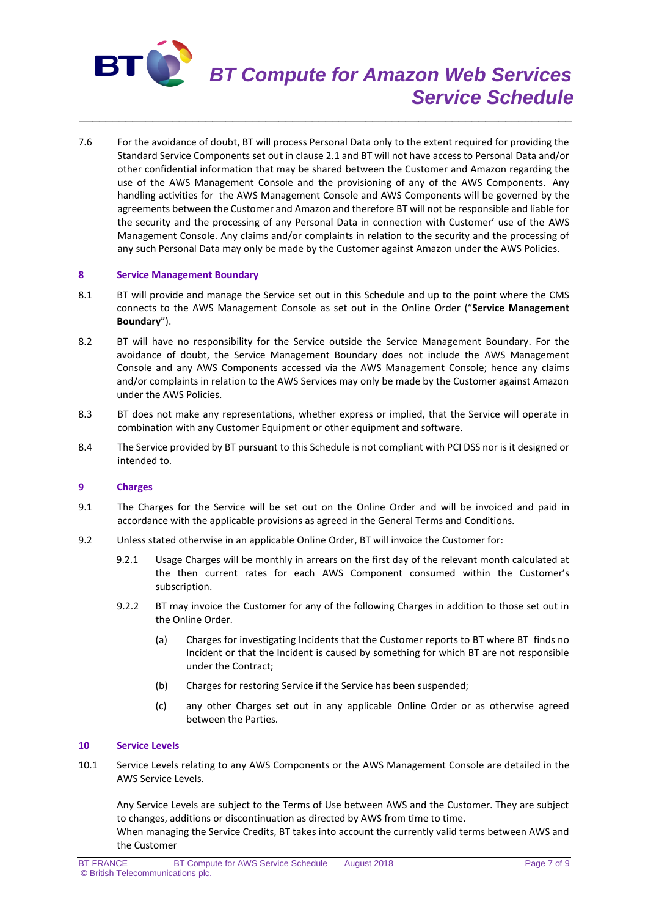

# *BT Compute for Amazon Web Services Service Schedule*

7.6 For the avoidance of doubt, BT will process Personal Data only to the extent required for providing the Standard Service Components set out in clause 2.1 and BT will not have access to Personal Data and/or other confidential information that may be shared between the Customer and Amazon regarding the use of the AWS Management Console and the provisioning of any of the AWS Components. Any handling activities for the AWS Management Console and AWS Components will be governed by the agreements between the Customer and Amazon and therefore BT will not be responsible and liable for the security and the processing of any Personal Data in connection with Customer' use of the AWS Management Console. Any claims and/or complaints in relation to the security and the processing of any such Personal Data may only be made by the Customer against Amazon under the AWS Policies.

\_\_\_\_\_\_\_\_\_\_\_\_\_\_\_\_\_\_\_\_\_\_\_\_\_\_\_\_\_\_\_\_\_\_\_\_\_\_\_\_\_\_\_\_\_\_\_\_\_\_\_\_\_\_\_\_\_\_\_\_\_\_\_\_\_\_\_\_\_\_\_\_\_\_

### **8 Service Management Boundary**

- 8.1 BT will provide and manage the Service set out in this Schedule and up to the point where the CMS connects to the AWS Management Console as set out in the Online Order ("**Service Management Boundary**").
- 8.2 BT will have no responsibility for the Service outside the Service Management Boundary. For the avoidance of doubt, the Service Management Boundary does not include the AWS Management Console and any AWS Components accessed via the AWS Management Console; hence any claims and/or complaints in relation to the AWS Services may only be made by the Customer against Amazon under the AWS Policies.
- 8.3 BT does not make any representations, whether express or implied, that the Service will operate in combination with any Customer Equipment or other equipment and software.
- 8.4 The Service provided by BT pursuant to this Schedule is not compliant with PCI DSS nor is it designed or intended to.

#### **9 Charges**

- 9.1 The Charges for the Service will be set out on the Online Order and will be invoiced and paid in accordance with the applicable provisions as agreed in the General Terms and Conditions.
- 9.2 Unless stated otherwise in an applicable Online Order, BT will invoice the Customer for:
	- 9.2.1 Usage Charges will be monthly in arrears on the first day of the relevant month calculated at the then current rates for each AWS Component consumed within the Customer's subscription.
	- 9.2.2 BT may invoice the Customer for any of the following Charges in addition to those set out in the Online Order.
		- (a) Charges for investigating Incidents that the Customer reports to BT where BT finds no Incident or that the Incident is caused by something for which BT are not responsible under the Contract;
		- (b) Charges for restoring Service if the Service has been suspended;
		- (c) any other Charges set out in any applicable Online Order or as otherwise agreed between the Parties.

#### **10 Service Levels**

10.1 Service Levels relating to any AWS Components or the AWS Management Console are detailed in the AWS Service Levels.

Any Service Levels are subject to the Terms of Use between AWS and the Customer. They are subject to changes, additions or discontinuation as directed by AWS from time to time.

When managing the Service Credits, BT takes into account the currently valid terms between AWS and the Customer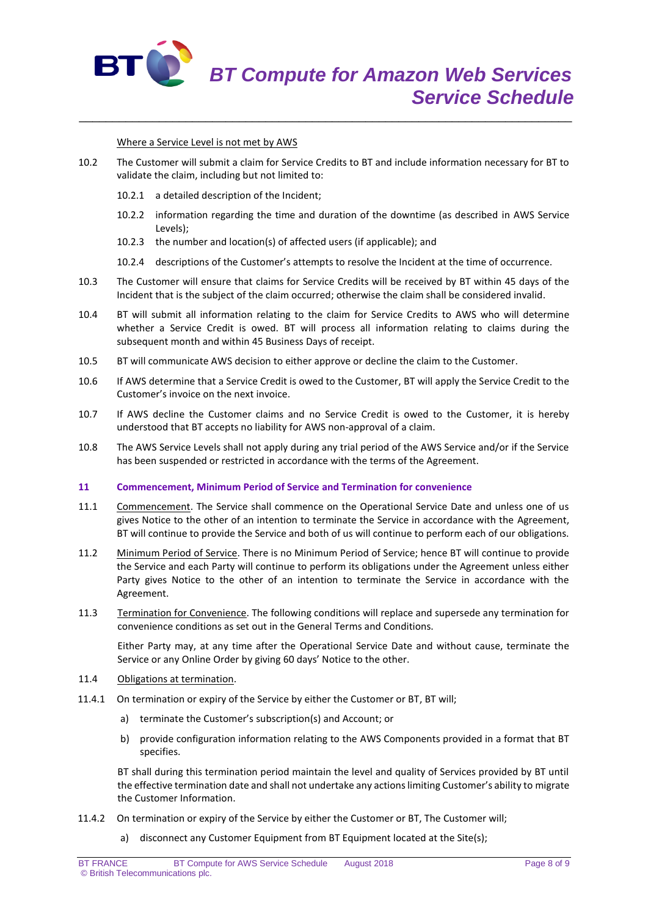

Where a Service Level is not met by AWS

10.2 The Customer will submit a claim for Service Credits to BT and include information necessary for BT to validate the claim, including but not limited to:

\_\_\_\_\_\_\_\_\_\_\_\_\_\_\_\_\_\_\_\_\_\_\_\_\_\_\_\_\_\_\_\_\_\_\_\_\_\_\_\_\_\_\_\_\_\_\_\_\_\_\_\_\_\_\_\_\_\_\_\_\_\_\_\_\_\_\_\_\_\_\_\_\_\_

- 10.2.1 a detailed description of the Incident;
- 10.2.2 information regarding the time and duration of the downtime (as described in AWS Service Levels);
- 10.2.3 the number and location(s) of affected users (if applicable); and
- 10.2.4 descriptions of the Customer's attempts to resolve the Incident at the time of occurrence.
- 10.3 The Customer will ensure that claims for Service Credits will be received by BT within 45 days of the Incident that is the subject of the claim occurred; otherwise the claim shall be considered invalid.
- 10.4 BT will submit all information relating to the claim for Service Credits to AWS who will determine whether a Service Credit is owed. BT will process all information relating to claims during the subsequent month and within 45 Business Days of receipt.
- 10.5 BT will communicate AWS decision to either approve or decline the claim to the Customer.
- 10.6 If AWS determine that a Service Credit is owed to the Customer, BT will apply the Service Credit to the Customer's invoice on the next invoice.
- 10.7 If AWS decline the Customer claims and no Service Credit is owed to the Customer, it is hereby understood that BT accepts no liability for AWS non-approval of a claim.
- 10.8 The AWS Service Levels shall not apply during any trial period of the AWS Service and/or if the Service has been suspended or restricted in accordance with the terms of the Agreement.

#### **11 Commencement, Minimum Period of Service and Termination for convenience**

- 11.1 Commencement. The Service shall commence on the Operational Service Date and unless one of us gives Notice to the other of an intention to terminate the Service in accordance with the Agreement, BT will continue to provide the Service and both of us will continue to perform each of our obligations.
- 11.2 Minimum Period of Service. There is no Minimum Period of Service; hence BT will continue to provide the Service and each Party will continue to perform its obligations under the Agreement unless either Party gives Notice to the other of an intention to terminate the Service in accordance with the Agreement.
- 11.3 Termination for Convenience. The following conditions will replace and supersede any termination for convenience conditions as set out in the General Terms and Conditions.

Either Party may, at any time after the Operational Service Date and without cause, terminate the Service or any Online Order by giving 60 days' Notice to the other.

- 11.4 Obligations at termination.
- 11.4.1 On termination or expiry of the Service by either the Customer or BT, BT will;
	- a) terminate the Customer's subscription(s) and Account; or
	- b) provide configuration information relating to the AWS Components provided in a format that BT specifies.

BT shall during this termination period maintain the level and quality of Services provided by BT until the effective termination date and shall not undertake any actions limiting Customer's ability to migrate the Customer Information.

- 11.4.2 On termination or expiry of the Service by either the Customer or BT, The Customer will;
	- a) disconnect any Customer Equipment from BT Equipment located at the Site(s);